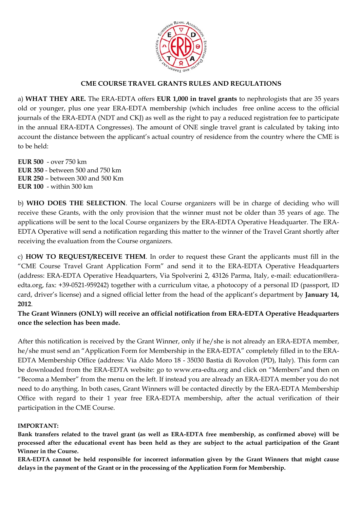

## **CME COURSE TRAVEL GRANTS RULES AND REGULATIONS**

a) **WHAT THEY ARE.** The ERA-EDTA offers **EUR 1,000 in travel grants** to nephrologists that are 35 years old or younger, plus one year ERA-EDTA membership (which includes free online access to the official journals of the ERA-EDTA (NDT and CKJ) as well as the right to pay a reduced registration fee to participate in the annual ERA-EDTA Congresses). The amount of ONE single travel grant is calculated by taking into account the distance between the applicant's actual country of residence from the country where the CME is to be held:

**EUR 500** - over 750 km **EUR 350** - between 500 and 750 km **EUR 250** – between 300 and 500 Km **EUR 100** - within 300 km

b) **WHO DOES THE SELECTION**. The local Course organizers will be in charge of deciding who will receive these Grants, with the only provision that the winner must not be older than 35 years of age. The applications will be sent to the local Course organizers by the ERA-EDTA Operative Headquarter. The ERA-EDTA Operative will send a notification regarding this matter to the winner of the Travel Grant shortly after receiving the evaluation from the Course organizers.

c) **HOW TO REQUEST/RECEIVE THEM**. In order to request these Grant the applicants must fill in the "CME Course Travel Grant Application Form" and send it to the ERA-EDTA Operative Headquarters (address: ERA-EDTA Operative Headquarters, Via Spolverini 2, 43126 Parma, Italy, e-mail: education@eraedta.org, fax: +39-0521-959242) together with a curriculum vitae, a photocopy of a personal ID (passport, ID card, driver's license) and a signed official letter from the head of the applicant's department by **January 14, 2012**.

**The Grant Winners (ONLY) will receive an official notification from ERA-EDTA Operative Headquarters once the selection has been made.** 

After this notification is received by the Grant Winner, only if he/she is not already an ERA-EDTA member, he/she must send an "Application Form for Membership in the ERA-EDTA" completely filled in to the ERA-EDTA Membership Office (address: Via Aldo Moro 18 - 35030 Bastia di Rovolon (PD), Italy). This form can be downloaded from the ERA-EDTA website: go to www.era-edta.org and click on "Members"and then on "Becoma a Member" from the menu on the left. If instead you are already an ERA-EDTA member you do not need to do anything. In both cases, Grant Winners will be contacted directly by the ERA-EDTA Membership Office with regard to their 1 year free ERA-EDTA membership, after the actual verification of their participation in the CME Course.

#### **IMPORTANT:**

**Bank transfers related to the travel grant (as well as ERA-EDTA free membership, as confirmed above) will be processed after the educational event has been held as they are subject to the actual participation of the Grant Winner in the Course.** 

**ERA-EDTA cannot be held responsible for incorrect information given by the Grant Winners that might cause delays in the payment of the Grant or in the processing of the Application Form for Membership.**